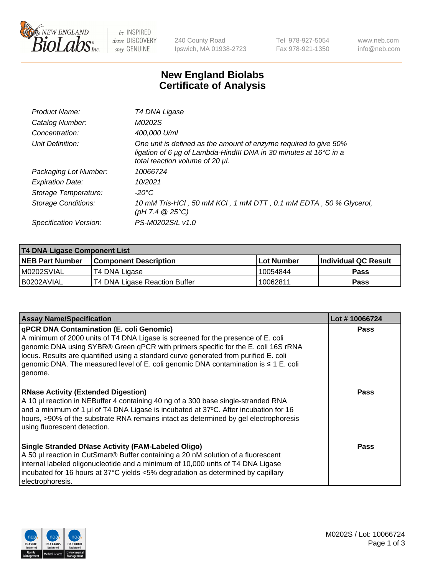

be INSPIRED drive DISCOVERY stay GENUINE

240 County Road Ipswich, MA 01938-2723 Tel 978-927-5054 Fax 978-921-1350 www.neb.com info@neb.com

## **New England Biolabs Certificate of Analysis**

| Product Name:              | T4 DNA Ligase                                                                                                                                                            |
|----------------------------|--------------------------------------------------------------------------------------------------------------------------------------------------------------------------|
| Catalog Number:            | M0202S                                                                                                                                                                   |
| Concentration:             | 400,000 U/ml                                                                                                                                                             |
| Unit Definition:           | One unit is defined as the amount of enzyme required to give 50%<br>ligation of 6 µg of Lambda-HindIII DNA in 30 minutes at 16°C in a<br>total reaction volume of 20 µl. |
| Packaging Lot Number:      | 10066724                                                                                                                                                                 |
| <b>Expiration Date:</b>    | 10/2021                                                                                                                                                                  |
| Storage Temperature:       | -20°C                                                                                                                                                                    |
| <b>Storage Conditions:</b> | 10 mM Tris-HCl, 50 mM KCl, 1 mM DTT, 0.1 mM EDTA, 50 % Glycerol,<br>(pH 7.4 $@25°C$ )                                                                                    |
| Specification Version:     | PS-M0202S/L v1.0                                                                                                                                                         |
|                            |                                                                                                                                                                          |

| T4 DNA Ligase Component List |                               |              |                             |  |
|------------------------------|-------------------------------|--------------|-----------------------------|--|
| <b>NEB Part Number</b>       | <b>Component Description</b>  | l Lot Number | <b>Individual QC Result</b> |  |
| M0202SVIAL                   | T4 DNA Ligase                 | 10054844     | <b>Pass</b>                 |  |
| I B0202AVIAL                 | T4 DNA Ligase Reaction Buffer | 10062811     | <b>Pass</b>                 |  |

| <b>Assay Name/Specification</b>                                                                                                                                                                                                                                                                                                                                                                                         | Lot #10066724 |
|-------------------------------------------------------------------------------------------------------------------------------------------------------------------------------------------------------------------------------------------------------------------------------------------------------------------------------------------------------------------------------------------------------------------------|---------------|
| <b>qPCR DNA Contamination (E. coli Genomic)</b><br>A minimum of 2000 units of T4 DNA Ligase is screened for the presence of E. coli<br>genomic DNA using SYBR® Green qPCR with primers specific for the E. coli 16S rRNA<br>locus. Results are quantified using a standard curve generated from purified E. coli<br>genomic DNA. The measured level of E. coli genomic DNA contamination is $\leq 1$ E. coli<br>genome. | <b>Pass</b>   |
| <b>RNase Activity (Extended Digestion)</b><br>A 10 µl reaction in NEBuffer 4 containing 40 ng of a 300 base single-stranded RNA<br>and a minimum of 1 µl of T4 DNA Ligase is incubated at 37 $\degree$ C. After incubation for 16<br>hours, >90% of the substrate RNA remains intact as determined by gel electrophoresis<br>using fluorescent detection.                                                               | Pass          |
| Single Stranded DNase Activity (FAM-Labeled Oligo)<br>A 50 µl reaction in CutSmart® Buffer containing a 20 nM solution of a fluorescent<br>internal labeled oligonucleotide and a minimum of 10,000 units of T4 DNA Ligase<br>incubated for 16 hours at 37°C yields <5% degradation as determined by capillary<br>electrophoresis.                                                                                      | Pass          |

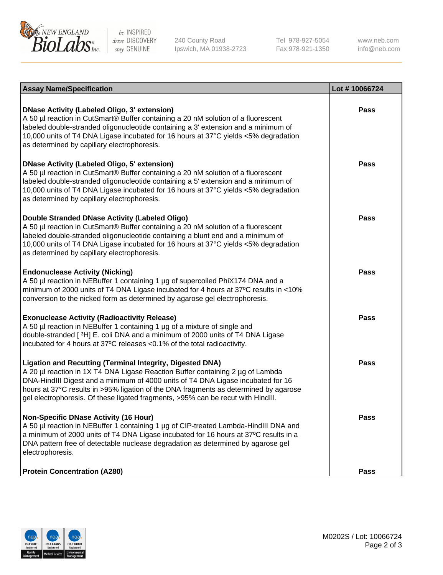

be INSPIRED drive DISCOVERY stay GENUINE

240 County Road Ipswich, MA 01938-2723 Tel 978-927-5054 Fax 978-921-1350 www.neb.com info@neb.com

| <b>Assay Name/Specification</b>                                                                                                                                                                                                                                                                                                                                                                                    | Lot #10066724 |
|--------------------------------------------------------------------------------------------------------------------------------------------------------------------------------------------------------------------------------------------------------------------------------------------------------------------------------------------------------------------------------------------------------------------|---------------|
| <b>DNase Activity (Labeled Oligo, 3' extension)</b><br>A 50 µl reaction in CutSmart® Buffer containing a 20 nM solution of a fluorescent<br>labeled double-stranded oligonucleotide containing a 3' extension and a minimum of<br>10,000 units of T4 DNA Ligase incubated for 16 hours at 37°C yields <5% degradation<br>as determined by capillary electrophoresis.                                               | <b>Pass</b>   |
| <b>DNase Activity (Labeled Oligo, 5' extension)</b><br>A 50 µl reaction in CutSmart® Buffer containing a 20 nM solution of a fluorescent<br>labeled double-stranded oligonucleotide containing a 5' extension and a minimum of<br>10,000 units of T4 DNA Ligase incubated for 16 hours at 37°C yields <5% degradation<br>as determined by capillary electrophoresis.                                               | <b>Pass</b>   |
| Double Stranded DNase Activity (Labeled Oligo)<br>A 50 µl reaction in CutSmart® Buffer containing a 20 nM solution of a fluorescent<br>labeled double-stranded oligonucleotide containing a blunt end and a minimum of<br>10,000 units of T4 DNA Ligase incubated for 16 hours at 37°C yields <5% degradation<br>as determined by capillary electrophoresis.                                                       | <b>Pass</b>   |
| <b>Endonuclease Activity (Nicking)</b><br>A 50 µl reaction in NEBuffer 1 containing 1 µg of supercoiled PhiX174 DNA and a<br>minimum of 2000 units of T4 DNA Ligase incubated for 4 hours at 37°C results in <10%<br>conversion to the nicked form as determined by agarose gel electrophoresis.                                                                                                                   | <b>Pass</b>   |
| <b>Exonuclease Activity (Radioactivity Release)</b><br>A 50 µl reaction in NEBuffer 1 containing 1 µg of a mixture of single and<br>double-stranded [3H] E. coli DNA and a minimum of 2000 units of T4 DNA Ligase<br>incubated for 4 hours at 37°C releases <0.1% of the total radioactivity.                                                                                                                      | <b>Pass</b>   |
| <b>Ligation and Recutting (Terminal Integrity, Digested DNA)</b><br>A 20 µl reaction in 1X T4 DNA Ligase Reaction Buffer containing 2 µg of Lambda<br>DNA-HindIII Digest and a minimum of 4000 units of T4 DNA Ligase incubated for 16<br>hours at 37°C results in >95% ligation of the DNA fragments as determined by agarose<br>gel electrophoresis. Of these ligated fragments, >95% can be recut with HindIII. | <b>Pass</b>   |
| <b>Non-Specific DNase Activity (16 Hour)</b><br>A 50 µl reaction in NEBuffer 1 containing 1 µg of CIP-treated Lambda-HindIII DNA and<br>a minimum of 2000 units of T4 DNA Ligase incubated for 16 hours at 37°C results in a<br>DNA pattern free of detectable nuclease degradation as determined by agarose gel<br>electrophoresis.                                                                               | <b>Pass</b>   |
| <b>Protein Concentration (A280)</b>                                                                                                                                                                                                                                                                                                                                                                                | <b>Pass</b>   |